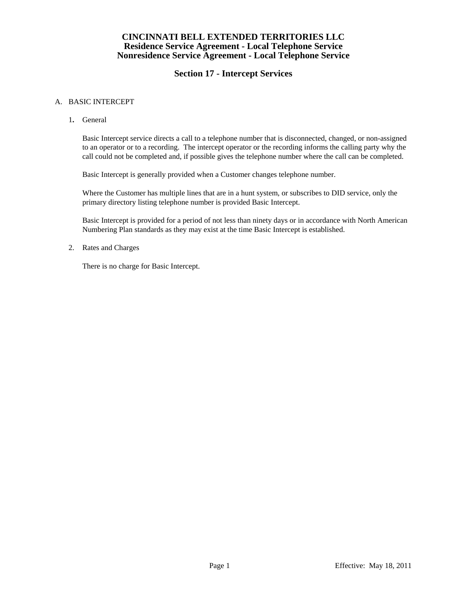### **CINCINNATI BELL EXTENDED TERRITORIES LLC Residence Service Agreement - Local Telephone Service Nonresidence Service Agreement - Local Telephone Service**

# **Section 17 - Intercept Services**

#### A. BASIC INTERCEPT

1**.** General

 Basic Intercept service directs a call to a telephone number that is disconnected, changed, or non-assigned to an operator or to a recording. The intercept operator or the recording informs the calling party why the call could not be completed and, if possible gives the telephone number where the call can be completed.

Basic Intercept is generally provided when a Customer changes telephone number.

 Where the Customer has multiple lines that are in a hunt system, or subscribes to DID service, only the primary directory listing telephone number is provided Basic Intercept.

 Basic Intercept is provided for a period of not less than ninety days or in accordance with North American Numbering Plan standards as they may exist at the time Basic Intercept is established.

2. Rates and Charges

There is no charge for Basic Intercept.